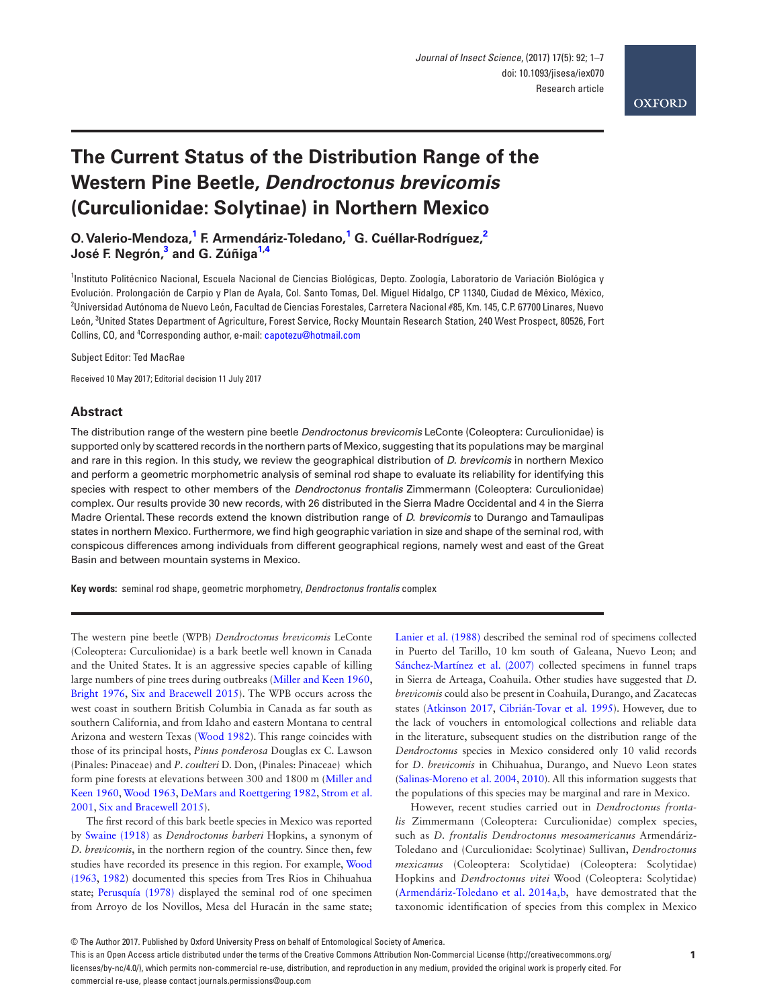# **The Current Status of the Distribution Range of the Western Pine Beetle,** *Dendroctonus brevicomis* **(Curculionidae: Solytinae) in Northern Mexico**

**O. Valerio-Mendoza[,1](#page-0-0) F. Armendáriz-Toledano,[1](#page-0-0) G. Cuéllar-Rodríguez[,2](#page-0-1) José F. Negrón[,3](#page-0-2) and G. Zúñig[a1,](#page-0-0)[4](#page-0-1)**

<span id="page-0-1"></span><span id="page-0-0"></span><sup>1</sup>Instituto Politécnico Nacional, Escuela Nacional de Ciencias Biológicas, Depto. Zoología, Laboratorio de Variación Biológica y Evolución. Prolongación de Carpio y Plan de Ayala, Col. Santo Tomas, Del. Miguel Hidalgo, CP 11340, Ciudad de México, México, 2 Universidad Autónoma de Nuevo León, Facultad de Ciencias Forestales, Carretera Nacional #85, Km. 145, C.P. 67700 Linares, Nuevo León, <sup>3</sup> United States Department of Agriculture, Forest Service, Rocky Mountain Research Station, 240 West Prospect, 80526, Fort Collins, CO, and <sup>4</sup>Corresponding author, e-mail: [capotezu@hotmail.com](mailto:capotezu@hotmail.com?subject=)

<span id="page-0-2"></span>Subject Editor: Ted MacRae

Received 10 May 2017; Editorial decision 11 July 2017

#### **Abstract**

The distribution range of the western pine beetle *Dendroctonus brevicomis* LeConte (Coleoptera: Curculionidae) is supported only by scattered records in the northern parts of Mexico, suggesting that its populations may be marginal and rare in this region. In this study, we review the geographical distribution of *D. brevicomis* in northern Mexico and perform a geometric morphometric analysis of seminal rod shape to evaluate its reliability for identifying this species with respect to other members of the *Dendroctonus frontalis* Zimmermann (Coleoptera: Curculionidae) complex. Our results provide 30 new records, with 26 distributed in the Sierra Madre Occidental and 4 in the Sierra Madre Oriental. These records extend the known distribution range of *D*. *brevicomis* to Durango and Tamaulipas states in northern Mexico. Furthermore, we find high geographic variation in size and shape of the seminal rod, with conspicous differences among individuals from different geographical regions, namely west and east of the Great Basin and between mountain systems in Mexico.

**Key words:** seminal rod shape, geometric morphometry, *Dendroctonus frontalis* complex

The western pine beetle (WPB) *Dendroctonus brevicomis* LeConte (Coleoptera: Curculionidae) is a bark beetle well known in Canada and the United States. It is an aggressive species capable of killing large numbers of pine trees during outbreaks [\(Miller and Keen 1960](#page-6-0), [Bright 1976](#page-6-1), [Six and Bracewell 2015](#page-6-2)). The WPB occurs across the west coast in southern British Columbia in Canada as far south as southern California, and from Idaho and eastern Montana to central Arizona and western Texas [\(Wood 1982](#page-6-3)). This range coincides with those of its principal hosts, *Pinus ponderosa* Douglas ex C. Lawson (Pinales: Pinaceae) and *P*. *coulteri* D. Don, (Pinales: Pinaceae) which form pine forests at elevations between 300 and 1800 m ([Miller and](#page-6-0) [Keen 1960](#page-6-0), [Wood 1963](#page-6-4), [DeMars and Roettgering 1982,](#page-6-5) [Strom et al.](#page-6-6) [2001,](#page-6-6) [Six and Bracewell 2015](#page-6-2)).

The first record of this bark beetle species in Mexico was reported by [Swaine \(1918\)](#page-6-7) as *Dendroctonus barberi* Hopkins, a synonym of *D. brevicomis*, in the northern region of the country. Since then, few studies have recorded its presence in this region. For example, [Wood](#page-6-4) [\(1963](#page-6-4), [1982](#page-6-3)) documented this species from Tres Rios in Chihuahua state; [Perusquía \(1978\)](#page-6-8) displayed the seminal rod of one specimen from Arroyo de los Novillos, Mesa del Huracán in the same state; [Lanier et al. \(1988\)](#page-6-9) described the seminal rod of specimens collected in Puerto del Tarillo, 10 km south of Galeana, Nuevo Leon; and [Sánchez-Martínez et al. \(2007\)](#page-6-10) collected specimens in funnel traps in Sierra de Arteaga, Coahuila. Other studies have suggested that *D. brevicomis* could also be present in Coahuila, Durango, and Zacatecas states [\(Atkinson 2017,](#page-6-11) [Cibrián-Tovar et al. 1995](#page-6-12)). However, due to the lack of vouchers in entomological collections and reliable data in the literature, subsequent studies on the distribution range of the *Dendroctonus* species in Mexico considered only 10 valid records for *D*. *brevicomis* in Chihuahua, Durango, and Nuevo Leon states ([Salinas-Moreno et al. 2004](#page-6-13), [2010\)](#page-6-14). All this information suggests that the populations of this species may be marginal and rare in Mexico.

However, recent studies carried out in *Dendroctonus frontalis* Zimmermann (Coleoptera: Curculionidae) complex species, such as *D. frontalis Dendroctonus mesoamericanus* Armendáriz**-**Toledano and (Curculionidae: Scolytinae) Sullivan, *Dendroctonus mexicanus* (Coleoptera: Scolytidae) (Coleoptera: Scolytidae) Hopkins and *Dendroctonus vitei* Wood (Coleoptera: Scolytidae) ([Armendáriz-Toledano et al. 2014a,b,](#page-5-0) have demostrated that the taxonomic identification of species from this complex in Mexico

<sup>©</sup> The Author 2017. Published by Oxford University Press on behalf of Entomological Society of America.

This is an Open Access article distributed under the terms of the Creative Commons Attribution Non-Commercial License (http://creativecommons.org/ licenses/by-nc/4.0/), which permits non-commercial re-use, distribution, and reproduction in any medium, provided the original work is properly cited. For commercial re-use, please contact journals.permissions@oup.com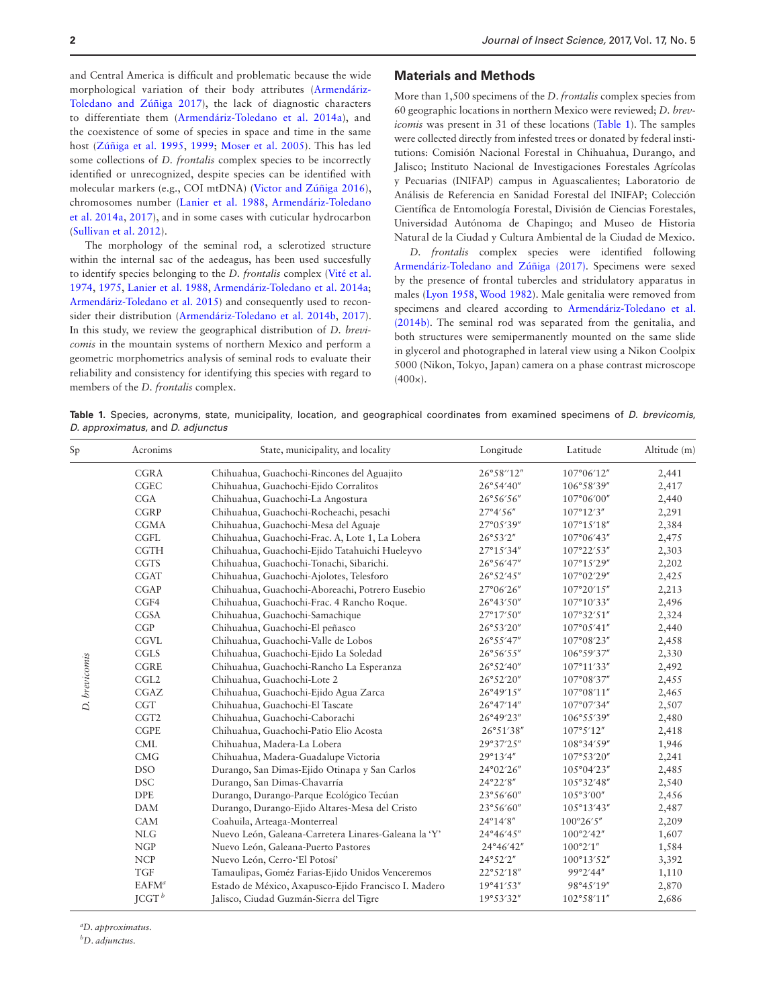and Central America is difficult and problematic because the wide morphological variation of their body attributes ([Armendáriz-](#page-6-15)[Toledano and Zúñiga 2017\)](#page-6-15), the lack of diagnostic characters to differentiate them [\(Armendáriz-Toledano et al. 2014a\)](#page-5-0), and the coexistence of some of species in space and time in the same host [\(Zúñiga et al. 1995,](#page-6-16) [1999](#page-6-17); [Moser et al. 2005\)](#page-6-18). This has led some collections of *D. frontalis* complex species to be incorrectly identified or unrecognized, despite species can be identified with molecular markers (e.g., COI mtDNA) ([Victor and Zúñiga 2016\)](#page-6-19), chromosomes number ([Lanier et al. 1988,](#page-6-9) [Armendáriz-Toledano](#page-5-0) [et al. 2014a](#page-5-0), [2017\)](#page-6-15), and in some cases with cuticular hydrocarbon ([Sullivan et al. 2012\)](#page-6-20).

The morphology of the seminal rod, a sclerotized structure within the internal sac of the aedeagus, has been used succesfully to identify species belonging to the *D. frontalis* complex ([Vité et al.](#page-6-21) [1974,](#page-6-21) [1975](#page-6-22), [Lanier et al. 1988,](#page-6-9) [Armendáriz-Toledano et al. 2014a;](#page-5-0) [Armendáriz-Toledano et al. 2015\)](#page-6-23) and consequently used to reconsider their distribution [\(Armendáriz-Toledano et al. 2014b,](#page-6-24) [2017\)](#page-6-15). In this study, we review the geographical distribution of *D. brevicomis* in the mountain systems of northern Mexico and perform a geometric morphometrics analysis of seminal rods to evaluate their reliability and consistency for identifying this species with regard to members of the *D. frontalis* complex.

#### **Materials and Methods**

More than 1,500 specimens of the *D*. *frontalis* complex species from 60 geographic locations in northern Mexico were reviewed; *D. brevicomis* was present in 31 of these locations [\(Table 1\)](#page-1-0). The samples were collected directly from infested trees or donated by federal institutions: Comisión Nacional Forestal in Chihuahua, Durango, and Jalisco; Instituto Nacional de Investigaciones Forestales Agrícolas y Pecuarias (INIFAP) campus in Aguascalientes; Laboratorio de Análisis de Referencia en Sanidad Forestal del INIFAP; Colección Científica de Entomología Forestal, División de Ciencias Forestales, Universidad Autónoma de Chapingo; and Museo de Historia Natural de la Ciudad y Cultura Ambiental de la Ciudad de Mexico.

*D. frontalis* complex species were identified following [Armendáriz-Toledano and Zúñiga \(2017\).](#page-6-15) Specimens were sexed by the presence of frontal tubercles and stridulatory apparatus in males ([Lyon 1958](#page-6-25), [Wood 1982](#page-6-3)). Male genitalia were removed from specimens and cleared according to [Armendáriz-Toledano et al.](#page-6-24) [\(2014b\).](#page-6-24) The seminal rod was separated from the genitalia, and both structures were semipermanently mounted on the same slide in glycerol and photographed in lateral view using a Nikon Coolpix 5000 (Nikon, Tokyo, Japan) camera on a phase contrast microscope  $(400x)$ .

<span id="page-1-0"></span>**Table 1.** Species, acronyms, state, municipality, location, and geographical coordinates from examined specimens of *D. brevicomis*, *D. approximatus*, and *D*. *adjunctus*

| Sp            | Acronims         | State, municipality, and locality                    | Longitude | Latitude             | Altitude (m) |
|---------------|------------------|------------------------------------------------------|-----------|----------------------|--------------|
|               | <b>CGRA</b>      | Chihuahua, Guachochi-Rincones del Aguajito           | 26°58″12" | $107^{\circ}06'12''$ | 2,441        |
| D. brevicomis | <b>CGEC</b>      | Chihuahua, Guachochi-Ejido Corralitos                | 26°54'40" | 106°58'39"           | 2,417        |
|               | CGA              | Chihuahua, Guachochi-La Angostura                    | 26°56'56" | 107°06'00"           | 2,440        |
|               | <b>CGRP</b>      | Chihuahua, Guachochi-Rocheachi, pesachi              | 27°4'56"  | 107°12′3″            | 2,291        |
|               | <b>CGMA</b>      | Chihuahua, Guachochi-Mesa del Aguaje                 | 27°05'39" | 107°15'18"           | 2,384        |
|               | <b>CGFL</b>      | Chihuahua, Guachochi-Frac. A, Lote 1, La Lobera      | 26°53′2"  | 107°06'43"           | 2,475        |
|               | <b>CGTH</b>      | Chihuahua, Guachochi-Ejido Tatahuichi Hueleyvo       | 27°15'34" | 107°22′53″           | 2,303        |
|               | <b>CGTS</b>      | Chihuahua, Guachochi-Tonachi, Sibarichi.             | 26°56'47" | 107°15'29"           | 2,202        |
|               | <b>CGAT</b>      | Chihuahua, Guachochi-Ajolotes, Telesforo             | 26°52′45" | 107°02'29"           | 2,425        |
|               | CGAP             | Chihuahua, Guachochi-Aboreachi, Potrero Eusebio      | 27°06'26" | 107°20'15"           | 2,213        |
|               | CGF4             | Chihuahua, Guachochi-Frac. 4 Rancho Roque.           | 26°43'50" | 107°10'33"           | 2,496        |
|               | <b>CGSA</b>      | Chihuahua, Guachochi-Samachique                      | 27°17'50" | 107°32′51″           | 2,324        |
|               | CGP              | Chihuahua, Guachochi-El peñasco                      | 26°53'20" | 107°05'41"           | 2,440        |
|               | <b>CGVL</b>      | Chihuahua, Guachochi-Valle de Lobos                  | 26°55'47" | 107°08'23"           | 2,458        |
|               | CGLS             | Chihuahua, Guachochi-Ejido La Soledad                | 26°56'55" | 106°59'37"           | 2,330        |
|               | <b>CGRE</b>      | Chihuahua, Guachochi-Rancho La Esperanza             | 26°52′40" | 107°11′33″           | 2,492        |
|               | CGL <sub>2</sub> | Chihuahua, Guachochi-Lote 2                          | 26°52′20" | 107°08'37"           | 2,455        |
|               | CGAZ             | Chihuahua, Guachochi-Ejido Agua Zarca                | 26°49'15" | 107°08'11"           | 2,465        |
|               | <b>CGT</b>       | Chihuahua, Guachochi-El Tascate                      | 26°47'14" | 107°07'34"           | 2,507        |
|               | CGT <sub>2</sub> | Chihuahua, Guachochi-Caborachi                       | 26°49'23" | 106°55'39"           | 2,480        |
|               | <b>CGPE</b>      | Chihuahua, Guachochi-Patio Elio Acosta               | 26°51′38″ | 107°5'12"            | 2,418        |
|               | CML              | Chihuahua, Madera-La Lobera                          | 29°37'25" | 108°34'59"           | 1,946        |
|               | CMG              | Chihuahua, Madera-Guadalupe Victoria                 | 29°13′4"  | 107°53′20"           | 2,241        |
|               | <b>DSO</b>       | Durango, San Dimas-Ejido Otinapa y San Carlos        | 24°02'26" | 105°04'23"           | 2,485        |
|               | <b>DSC</b>       | Durango, San Dimas-Chavarría                         | 24°22′8"  | 105°32′48″           | 2,540        |
|               | <b>DPE</b>       | Durango, Durango-Parque Ecológico Tecúan             | 23°56'60" | 105°3'00"            | 2,456        |
|               | <b>DAM</b>       | Durango, Durango-Ejido Altares-Mesa del Cristo       | 23°56'60" | 105°13'43"           | 2,487        |
|               | CAM              | Coahuila, Arteaga-Monterreal                         | 24°14′8″  | $100^{\circ}26'5''$  | 2,209        |
|               | <b>NLG</b>       | Nuevo León, Galeana-Carretera Linares-Galeana la 'Y' | 24°46'45" | 100°2′42″            | 1,607        |
|               | <b>NGP</b>       | Nuevo León, Galeana-Puerto Pastores                  | 24°46'42" | 100°2'1"             | 1,584        |
|               | <b>NCP</b>       | Nuevo León, Cerro-'El Potosí'                        | 24°52'2"  | 100°13'52"           | 3,392        |
|               | <b>TGF</b>       | Tamaulipas, Goméz Farias-Ejido Unidos Venceremos     | 22°52'18" | 99°2′44″             | 1,110        |
|               | $EAFM^a$         | Estado de México, Axapusco-Ejido Francisco I. Madero | 19°41'53" | 98°45'19"            | 2,870        |
|               | $JCGT^b$         | Jalisco, Ciudad Guzmán-Sierra del Tigre              | 19°53'32" | 102°58'11"           | 2,686        |

*a D. approximatus.*

*b D*. *adjunctus.*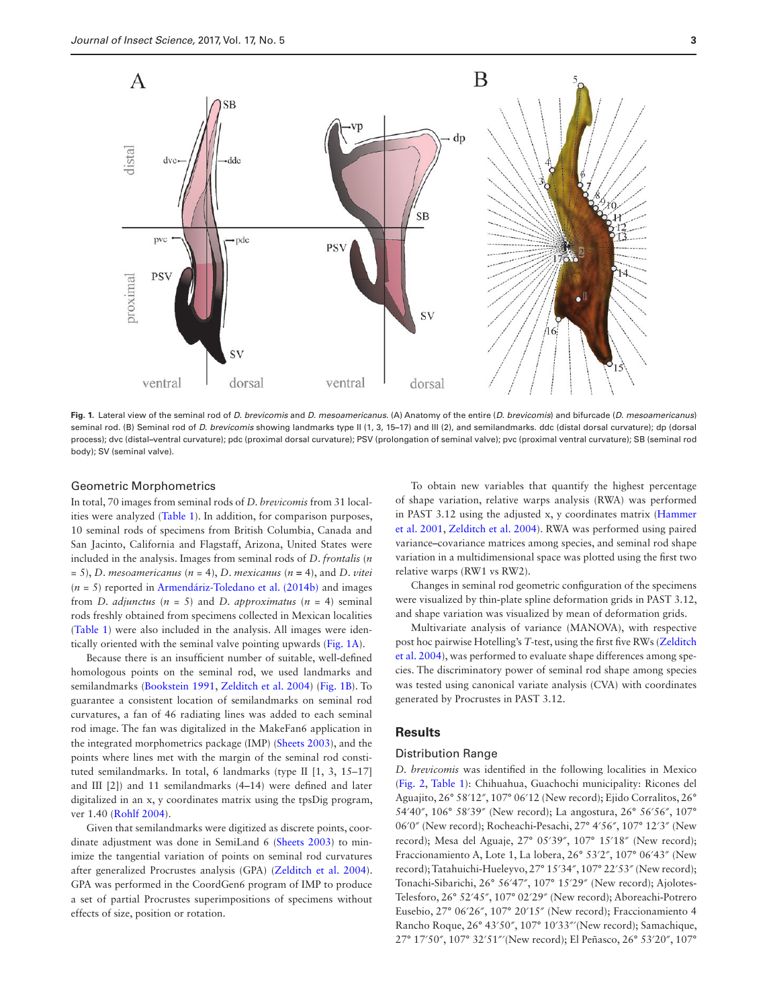

<span id="page-2-0"></span>**Fig. 1.** Lateral view of the seminal rod of *D. brevicomis* and *D. mesoamericanus*. (A) Anatomy of the entire (*D*. *brevicomis*) and bifurcade (*D*. *mesoamericanus*) seminal rod. (B) Seminal rod of *D*. *brevicomis* showing landmarks type II (1, 3, 15**–**17) and III (2), and semilandmarks. ddc (distal dorsal curvature); dp (dorsal process); dvc (distal-ventral curvature); pdc (proximal dorsal curvature); PSV (prolongation of seminal valve); pvc (proximal ventral curvature); SB (seminal rod body); SV (seminal valve).

#### Geometric Morphometrics

In total, 70 images from seminal rods of *D. brevicomis* from 31 localities were analyzed [\(Table 1](#page-1-0)). In addition, for comparison purposes, 10 seminal rods of specimens from British Columbia, Canada and San Jacinto, California and Flagstaff, Arizona, United States were included in the analysis. Images from seminal rods of *D*. *frontalis* (*n* = 5), *D*. *mesoamericanus* (*n* = 4), *D*. *mexicanus* (*n* **=** 4), and *D*. *vitei* (*n* = 5) reported in [Armendáriz-Toledano et al. \(2014b\)](#page-6-24) and images from *D. adjunctus*  $(n = 5)$  and *D. approximatus*  $(n = 4)$  seminal rods freshly obtained from specimens collected in Mexican localities ([Table 1\)](#page-1-0) were also included in the analysis. All images were identically oriented with the seminal valve pointing upwards ([Fig. 1A\)](#page-2-0).

Because there is an insufficient number of suitable, well**-**defined homologous points on the seminal rod, we used landmarks and semilandmarks [\(Bookstein 1991](#page-6-26), [Zelditch et al. 2004\)](#page-6-27) ([Fig. 1B](#page-2-0)). To guarantee a consistent location of semilandmarks on seminal rod curvatures, a fan of 46 radiating lines was added to each seminal rod image. The fan was digitalized in the MakeFan6 application in the integrated morphometrics package (IMP) [\(Sheets 2003](#page-6-28)), and the points where lines met with the margin of the seminal rod constituted semilandmarks. In total, 6 landmarks (type II [1, 3, 15–17] and III [2]) and 11 semilandmarks (4**–**14) were defined and later digitalized in an x, y coordinates matrix using the tpsDig program, ver 1.40 [\(Rohlf 2004](#page-6-29)).

Given that semilandmarks were digitized as discrete points, coordinate adjustment was done in SemiLand 6 ([Sheets 2003](#page-6-28)) to minimize the tangential variation of points on seminal rod curvatures after generalized Procrustes analysis (GPA) [\(Zelditch et al. 2004](#page-6-27)). GPA was performed in the CoordGen6 program of IMP to produce a set of partial Procrustes superimpositions of specimens without effects of size, position or rotation.

To obtain new variables that quantify the highest percentage of shape variation, relative warps analysis (RWA) was performed in PAST 3.12 using the adjusted x, y coordinates matrix [\(Hammer](#page-6-30) [et al. 2001](#page-6-30), [Zelditch et al. 2004\)](#page-6-27). RWA was performed using paired variance**–**covariance matrices among species, and seminal rod shape variation in a multidimensional space was plotted using the first two relative warps (RW1 vs RW2).

Changes in seminal rod geometric configuration of the specimens were visualized by thin**-**plate spline deformation grids in PAST 3.12, and shape variation was visualized by mean of deformation grids.

Multivariate analysis of variance (MANOVA), with respective post hoc pairwise Hotelling's *T*-test, using the first five RWs [\(Zelditch](#page-6-27) [et al. 2004\)](#page-6-27), was performed to evaluate shape differences among species. The discriminatory power of seminal rod shape among species was tested using canonical variate analysis (CVA) with coordinates generated by Procrustes in PAST 3.12.

## **Results**

#### Distribution Range

*D. brevicomis* was identified in the following localities in Mexico ([Fig. 2](#page-3-0), [Table 1](#page-1-0)): Chihuahua, Guachochi municipality: Ricones del Aguajito, 26° 58′12″, 107° 06′12 (New record); Ejido Corralitos, 26° 54′40″, 106° 58′39″ (New record); La angostura, 26° 56′56″, 107° 06′0″ (New record); Rocheachi**-**Pesachi, 27° 4′56″, 107° 12′3″ (New record); Mesa del Aguaje, 27° 05′39″, 107° 15′18″ (New record); Fraccionamiento A, Lote 1, La lobera, 26° 53′2″, 107° 06′43″ (New record); Tatahuichi**-**Hueleyvo, 27° 15′34″, 107° 22′53″ (New record); Tonachi**-**Sibarichi, 26° 56′47″, 107° 15′29″ (New record); Ajolotes**-**Telesforo, 26° 52′45″, 107° 02′29″ (New record); Aboreachi**-**Potrero Eusebio, 27° 06′26″, 107° 20′15″ (New record); Fraccionamiento 4 Rancho Roque, 26° 43′50″, 107° 10′33″′(New record); Samachique, 27° 17′50″, 107° 32′51″′(New record); El Peñasco, 26° 53′20″, 107°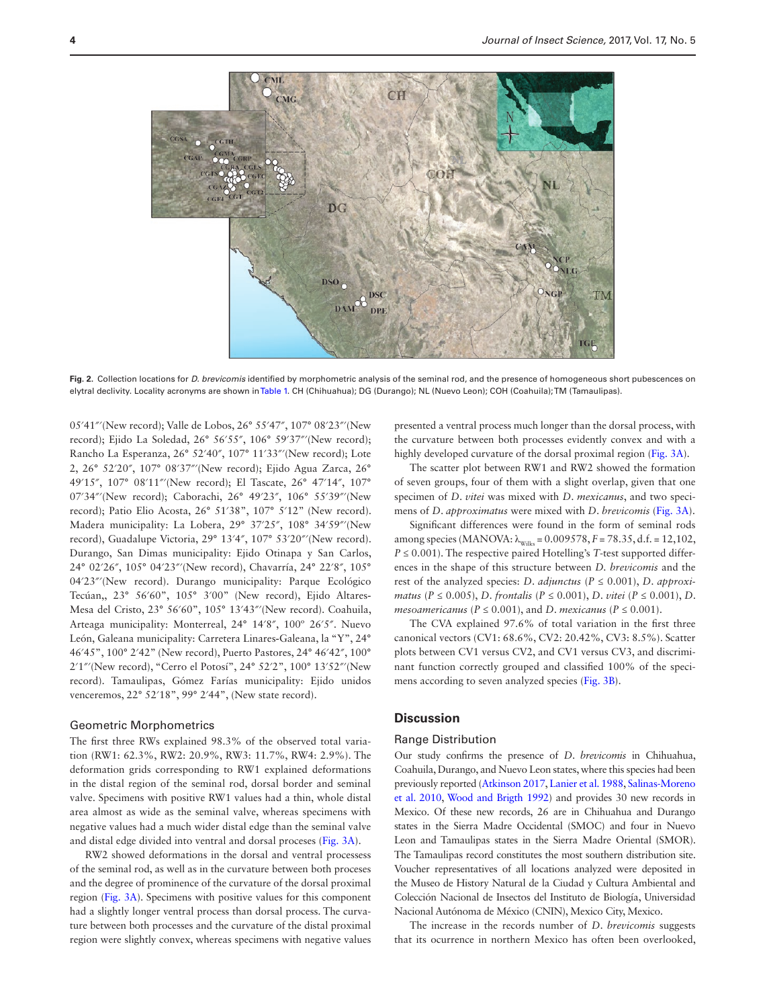

<span id="page-3-0"></span>**Fig. 2.** Collection locations for *D. brevicomis* identified by morphometric analysis of the seminal rod, and the presence of homogeneous short pubescences on elytral declivity. Locality acronyms are shown in [Table 1](#page-1-0). CH (Chihuahua); DG (Durango); NL (Nuevo Leon); COH (Coahuila); TM (Tamaulipas).

05′41″′(New record); Valle de Lobos, 26° 55′47″, 107° 08′23″′(New record); Ejido La Soledad, 26° 56′55″, 106° 59′37″′(New record); Rancho La Esperanza, 26° 52′40″, 107° 11′33″′(New record); Lote 2, 26° 52′20″, 107° 08′37″′(New record); Ejido Agua Zarca, 26° 49′15″, 107° 08′11″′(New record); El Tascate, 26° 47′14″, 107° 07′34″′(New record); Caborachi, 26° 49′23″, 106° 55′39″′(New record); Patio Elio Acosta, 26° 51′38", 107° 5′12" (New record). Madera municipality: La Lobera, 29° 37′25″, 108° 34′59″′(New record), Guadalupe Victoria, 29° 13′4″, 107° 53′20″′(New record). Durango, San Dimas municipality: Ejido Otinapa y San Carlos, 24° 02′26″, 105° 04′23″′(New record), Chavarría, 24° 22′8″, 105° 04′23″′(New record). Durango municipality: Parque Ecológico Tecúan,, 23° 56′60", 105° 3′00" (New record), Ejido Altares**-**Mesa del Cristo, 23° 56′60", 105° 13′43″′(New record). Coahuila, Arteaga municipality: Monterreal, 24° 14′8″, 100º 26′5″. Nuevo León, Galeana municipality: Carretera Linares**-**Galeana, la "Y", 24° 46′45", 100° 2′42" (New record), Puerto Pastores, 24° 46′42″, 100° 2′1″′(New record), "Cerro el Potosí", 24° 52′2", 100° 13′52″′(New record). Tamaulipas, Gómez Farías municipality: Ejido unidos venceremos, 22° 52′18", 99° 2′44", (New state record).

#### Geometric Morphometrics

The first three RWs explained 98.3% of the observed total variation (RW1: 62.3%, RW2: 20.9%, RW3: 11.7%, RW4: 2.9%). The deformation grids corresponding to RW1 explained deformations in the distal region of the seminal rod, dorsal border and seminal valve. Specimens with positive RW1 values had a thin, whole distal area almost as wide as the seminal valve, whereas specimens with negative values had a much wider distal edge than the seminal valve and distal edge divided into ventral and dorsal proceses [\(Fig. 3A\)](#page-4-0).

RW2 showed deformations in the dorsal and ventral processess of the seminal rod, as well as in the curvature between both proceses and the degree of prominence of the curvature of the dorsal proximal region [\(Fig. 3A\)](#page-4-0). Specimens with positive values for this component had a slightly longer ventral process than dorsal process. The curvature between both processes and the curvature of the distal proximal region were slightly convex, whereas specimens with negative values

presented a ventral process much longer than the dorsal process, with the curvature between both processes evidently convex and with a highly developed curvature of the dorsal proximal region ([Fig. 3A\)](#page-4-0).

The scatter plot between RW1 and RW2 showed the formation of seven groups, four of them with a slight overlap, given that one specimen of *D*. *vitei* was mixed with *D*. *mexicanus*, and two specimens of *D*. *approximatus* were mixed with *D*. *brevicomis* ([Fig. 3A\)](#page-4-0).

Significant differences were found in the form of seminal rods among species (MANOVA:  $\lambda_{\text{Wilks}} = 0.009578$ ,  $F = 78.35$ , d.f. = 12,102,  $P \leq 0.001$ ). The respective paired Hotelling's *T*-test supported differences in the shape of this structure between *D. brevicomis* and the rest of the analyzed species: *D. adjunctus* ( $P \le 0.001$ ), *D. approximatus* (*P* ≤ 0.005), *D. frontalis* (*P* ≤ 0.001), *D. vitei* (*P* ≤ 0.001), *D. mesoamericanus* ( $P \le 0.001$ ), and *D. mexicanus* ( $P \le 0.001$ ).

The CVA explained 97.6% of total variation in the first three canonical vectors (CV1: 68.6%, CV2: 20.42%, CV3: 8.5%). Scatter plots between CV1 versus CV2, and CV1 versus CV3, and discriminant function correctly grouped and classified 100% of the specimens according to seven analyzed species [\(Fig. 3B](#page-4-0)).

## **Discussion**

## Range Distribution

Our study confirms the presence of *D*. *brevicomis* in Chihuahua, Coahuila, Durango, and Nuevo Leon states, where this species had been previously reported [\(Atkinson 2017](#page-6-11), [Lanier et al. 1988](#page-6-9), [Salinas-Moreno](#page-6-14) [et al. 2010,](#page-6-14) [Wood and Brigth 1992](#page-6-22)) and provides 30 new records in Mexico. Of these new records, 26 are in Chihuahua and Durango states in the Sierra Madre Occidental (SMOC) and four in Nuevo Leon and Tamaulipas states in the Sierra Madre Oriental (SMOR). The Tamaulipas record constitutes the most southern distribution site. Voucher representatives of all locations analyzed were deposited in the Museo de History Natural de la Ciudad y Cultura Ambiental and Colección Nacional de Insectos del Instituto de Biología, Universidad Nacional Autónoma de México (CNIN), Mexico City, Mexico.

The increase in the records number of *D*. *brevicomis* suggests that its ocurrence in northern Mexico has often been overlooked,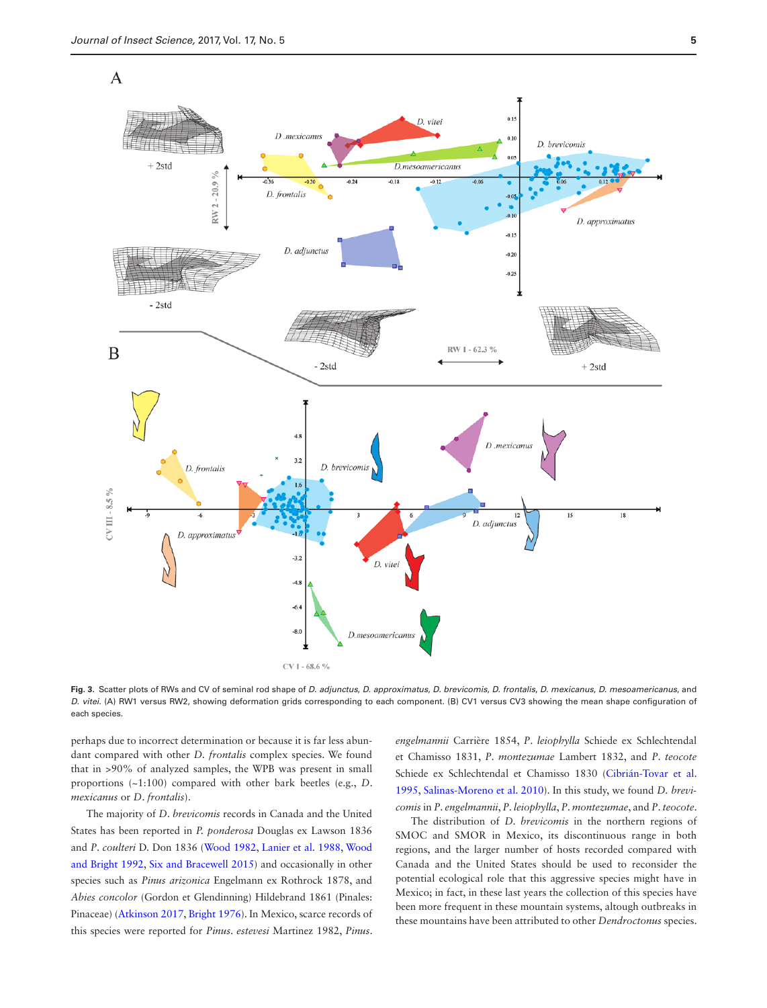

<span id="page-4-0"></span>**Fig. 3.** Scatter plots of RWs and CV of seminal rod shape of *D. adjunctus*, *D. approximatus*, *D. brevicomis*, *D. frontalis*, *D. mexicanus*, *D. mesoamericanus*, and *D. vitei.* (A) RW1 versus RW2, showing deformation grids corresponding to each component. (B) CV1 versus CV3 showing the mean shape configuration of each species.

perhaps due to incorrect determination or because it is far less abundant compared with other *D. frontalis* complex species. We found that in >90% of analyzed samples, the WPB was present in small proportions (~1:100) compared with other bark beetles (e.g., *D*. *mexicanus* or *D*. *frontalis*).

The majority of *D*. *brevicomis* records in Canada and the United States has been reported in *P. ponderosa* Douglas ex Lawson 1836 and *P*. *coulteri* D. Don 1836 [\(Wood 1982](#page-6-3), [Lanier et al. 1988,](#page-6-9) [Wood](#page-6-31) [and Bright 1992,](#page-6-31) [Six and Bracewell 2015](#page-6-2)) and occasionally in other species such as *Pinus arizonica* Engelmann ex Rothrock 1878, and *Abies concolor* (Gordon et Glendinning) Hildebrand 1861 (Pinales: Pinaceae) ([Atkinson 2017,](#page-6-11) [Bright 1976](#page-6-1)). In Mexico, scarce records of this species were reported for *Pinus*. *estevesi* Martinez 1982, *Pinus*.

*engelmannii* Carrière 1854, *P*. *leiophylla* Schiede ex Schlechtendal et Chamisso 1831, *P*. *montezumae* Lambert 1832, and *P*. *teocote* Schiede ex Schlechtendal et Chamisso 1830 ([Cibrián-Tovar et al.](#page-6-12) [1995,](#page-6-12) [Salinas-Moreno et al. 2010](#page-6-14)). In this study, we found *D. brevicomis* in *P*. *engelmannii*, *P*. *leiophylla*, *P*. *montezumae*, and *P*. *teocote*.

The distribution of *D. brevicomis* in the northern regions of SMOC and SMOR in Mexico, its discontinuous range in both regions, and the larger number of hosts recorded compared with Canada and the United States should be used to reconsider the potential ecological role that this aggressive species might have in Mexico; in fact, in these last years the collection of this species have been more frequent in these mountain systems, altough outbreaks in these mountains have been attributed to other *Dendroctonus* species.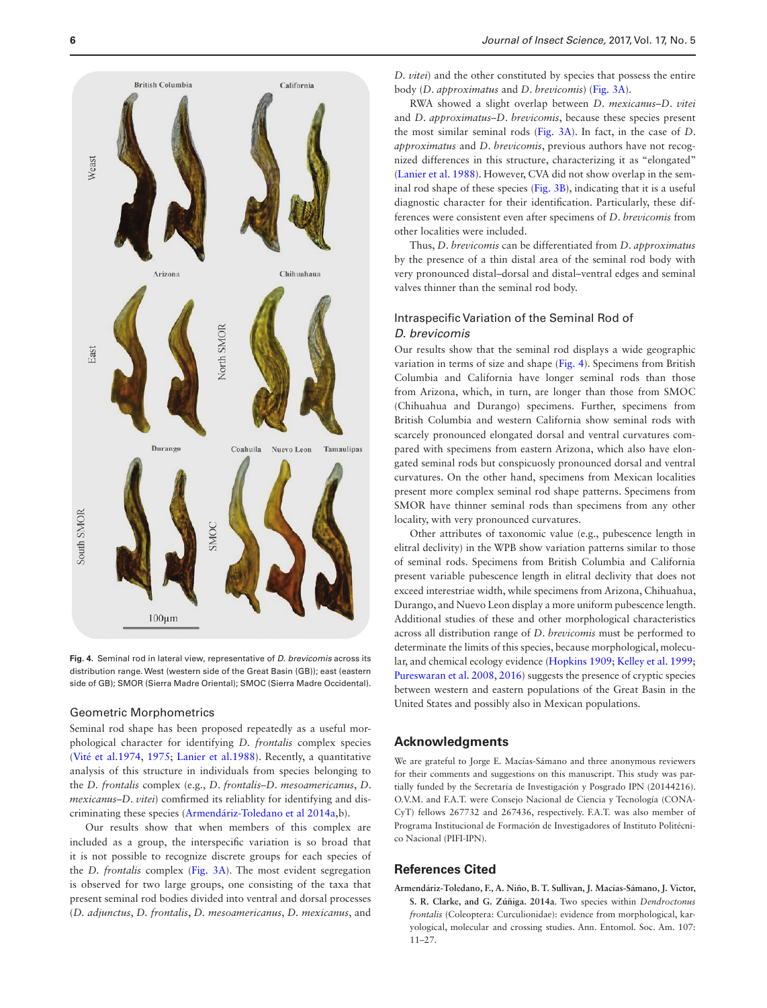

<span id="page-5-1"></span>**Fig. 4.** Seminal rod in lateral view, representative of *D. brevicomis* across its distribution range. West (western side of the Great Basin (GB)); east (eastern side of GB); SMOR (Sierra Madre Oriental); SMOC (Sierra Madre Occidental).

### Geometric Morphometrics

Seminal rod shape has been proposed repeatedly as a useful morphological character for identifying *D. frontalis* complex species ([Vité et al.1974](#page-6-21), [1975](#page-6-22); [Lanier et al.1988](#page-6-9)). Recently, a quantitative analysis of this structure in individuals from species belonging to the *D. frontalis* complex (e.g., *D*. *frontalis*–*D*. *mesoamericanus*, *D*. *mexicanus*–*D*. *vitei*) comfirmed its reliablity for identifying and discriminating these species ([Armendáriz-Toledano et al 2014a,](#page-5-0)b).

Our results show that when members of this complex are included as a group, the interspecific variation is so broad that it is not possible to recognize discrete groups for each species of the *D. frontalis* complex ([Fig. 3A](#page-4-0)). The most evident segregation is observed for two large groups, one consisting of the taxa that present seminal rod bodies divided into ventral and dorsal processes (*D. adjunctus*, *D. frontalis*, *D. mesoamericanus*, *D. mexicanus*, and *D. vitei*) and the other constituted by species that possess the entire body (*D*. *approximatus* and *D*. *brevicomis*) [\(Fig. 3A\)](#page-4-0).

RWA showed a slight overlap between *D*. *mexicanus*–*D*. *vitei* and *D*. *approximatus*–*D*. *brevicomis*, because these species present the most similar seminal rods [\(Fig. 3A\)](#page-4-0). In fact, in the case of *D*. *approximatus* and *D*. *brevicomis*, previous authors have not recognized differences in this structure, characterizing it as "elongated" ([Lanier et al. 1988](#page-6-9)). However, CVA did not show overlap in the seminal rod shape of these species ([Fig. 3B](#page-4-0)), indicating that it is a useful diagnostic character for their identification. Particularly, these differences were consistent even after specimens of *D*. *brevicomis* from other localities were included.

Thus, *D*. *brevicomis* can be differentiated from *D*. *approximatus* by the presence of a thin distal area of the seminal rod body with very pronounced distal–dorsal and distal–ventral edges and seminal valves thinner than the seminal rod body.

## Intraspecific Variation of the Seminal Rod of *D. brevicomis*

Our results show that the seminal rod displays a wide geographic variation in terms of size and shape ([Fig. 4\)](#page-5-1). Specimens from British Columbia and California have longer seminal rods than those from Arizona, which, in turn, are longer than those from SMOC (Chihuahua and Durango) specimens. Further, specimens from British Columbia and western California show seminal rods with scarcely pronounced elongated dorsal and ventral curvatures compared with specimens from eastern Arizona, which also have elongated seminal rods but conspicuosly pronounced dorsal and ventral curvatures. On the other hand, specimens from Mexican localities present more complex seminal rod shape patterns. Specimens from SMOR have thinner seminal rods than specimens from any other locality, with very pronounced curvatures.

Other attributes of taxonomic value (e.g., pubescence length in elitral declivity) in the WPB show variation patterns similar to those of seminal rods. Specimens from British Columbia and California present variable pubescence length in elitral declivity that does not exceed interestriae width, while specimens from Arizona, Chihuahua, Durango, and Nuevo Leon display a more uniform pubescence length. Additional studies of these and other morphological characteristics across all distribution range of *D*. *brevicomis* must be performed to determinate the limits of this species, because morphological, molecular, and chemical ecology evidence [\(Hopkins 1909](#page-6-32); [Kelley et al. 1999;](#page-6-33) [Pureswaran et al. 2008,](#page-6-34) [2016](#page-6-35)) suggests the presence of cryptic species between western and eastern populations of the Great Basin in the United States and possibly also in Mexican populations.

## **Acknowledgments**

We are grateful to Jorge E. Macías-Sámano and three anonymous reviewers for their comments and suggestions on this manuscript. This study was partially funded by the Secretaría de Investigación y Posgrado IPN (20144216). O.V.M. and F.A.T. were Consejo Nacional de Ciencia y Tecnología (CONA-CyT) fellows 267732 and 267436, respectively. F.A.T. was also member of Programa Institucional de Formación de Investigadores of Instituto Politécnico Nacional (PIFI-IPN).

## **References Cited**

<span id="page-5-0"></span>**Armendáriz-Toledano, F., A. Niño, B. T. Sullivan, J. Macías-Sámano, J. Victor, S. R. Clarke, and G. Zúñiga. 2014a**. Two species within *Dendroctonus frontalis* (Coleoptera: Curculionidae): evidence from morphological, karyological, molecular and crossing studies. Ann. Entomol. Soc. Am. 107: 11–27.